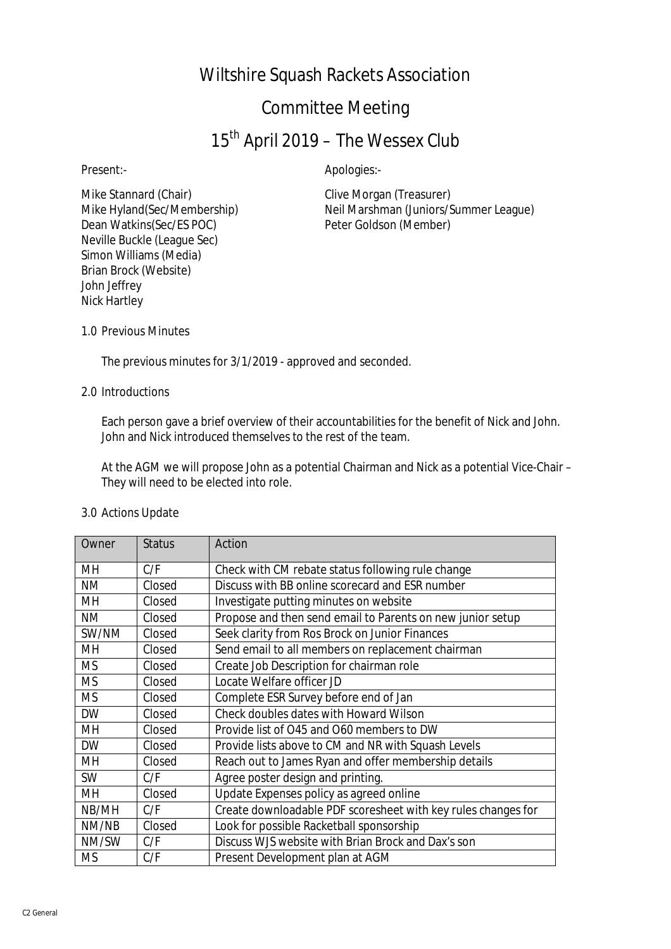## Wiltshire Squash Rackets Association

## Committee Meeting

# 15<sup>th</sup> April 2019 – The Wessex Club

Present:- Apologies:-

Mike Stannard (Chair) Clive Morgan (Treasurer) Dean Watkins(Sec/ES POC) Peter Goldson (Member) Neville Buckle (League Sec) Simon Williams (Media) Brian Brock (Website) John Jeffrey Nick Hartley

Mike Hyland(Sec/Membership) Neil Marshman (Juniors/Summer League)

1.0 Previous Minutes

The previous minutes for 3/1/2019 - approved and seconded.

#### 2.0 Introductions

Each person gave a brief overview of their accountabilities for the benefit of Nick and John. John and Nick introduced themselves to the rest of the team.

At the AGM we will propose John as a potential Chairman and Nick as a potential Vice-Chair – They will need to be elected into role.

#### 3.0 Actions Update

| Owner     | <b>Status</b> | Action                                                        |
|-----------|---------------|---------------------------------------------------------------|
| MН        | C/F           | Check with CM rebate status following rule change             |
| ΝM        | Closed        | Discuss with BB online scorecard and ESR number               |
| MН        | Closed        | Investigate putting minutes on website                        |
| ΝM        | Closed        | Propose and then send email to Parents on new junior setup    |
| SW/NM     | Closed        | Seek clarity from Ros Brock on Junior Finances                |
| MН        | Closed        | Send email to all members on replacement chairman             |
| <b>MS</b> | Closed        | Create Job Description for chairman role                      |
| <b>MS</b> | Closed        | Locate Welfare officer JD                                     |
| <b>MS</b> | Closed        | Complete ESR Survey before end of Jan                         |
| <b>DW</b> | Closed        | Check doubles dates with Howard Wilson                        |
| MН        | Closed        | Provide list of O45 and O60 members to DW                     |
| <b>DW</b> | Closed        | Provide lists above to CM and NR with Squash Levels           |
| MН        | Closed        | Reach out to James Ryan and offer membership details          |
| <b>SW</b> | C/F           | Agree poster design and printing.                             |
| MН        | Closed        | Update Expenses policy as agreed online                       |
| NB/MH     | C/F           | Create downloadable PDF scoresheet with key rules changes for |
| NM/NB     | Closed        | Look for possible Racketball sponsorship                      |
| NM/SW     | C/F           | Discuss WJS website with Brian Brock and Dax's son            |
| <b>MS</b> | C/F           | Present Development plan at AGM                               |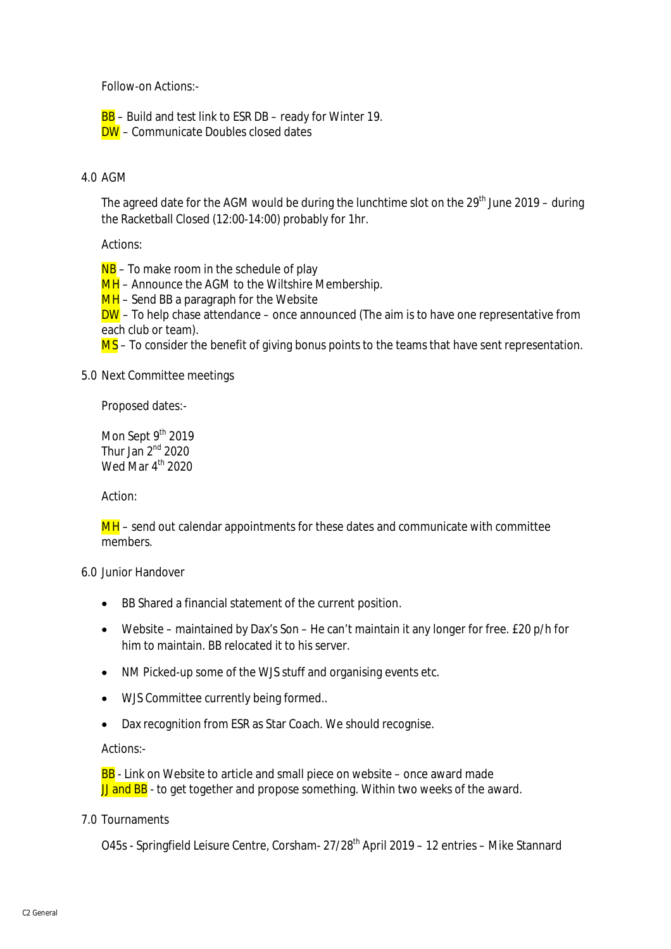Follow-on Actions:-

BB - Build and test link to ESR DB - ready for Winter 19. DW – Communicate Doubles closed dates

#### 4.0 AGM

The agreed date for the AGM would be during the lunchtime slot on the  $29<sup>th</sup>$  June 2019 – during the Racketball Closed (12:00-14:00) probably for 1hr.

Actions:

 $NB - To$  make room in the schedule of play

MH – Announce the AGM to the Wiltshire Membership.

 $MH -$  Send BB a paragraph for the Website

 $DW$  – To help chase attendance – once announced (The aim is to have one representative from each club or team).

MS – To consider the benefit of giving bonus points to the teams that have sent representation.

#### 5.0 Next Committee meetings

Proposed dates:-

Mon Sept 9th 2019 Thur Jan  $2<sup>nd</sup>$  2020 Wed Mar  $4^{\text{th}}$  2020

Action:

MH – send out calendar appointments for these dates and communicate with committee members.

6.0 Junior Handover

- BB Shared a financial statement of the current position.
- Website maintained by Dax's Son He can't maintain it any longer for free. £20 p/h for him to maintain. BB relocated it to his server.
- NM Picked-up some of the WJS stuff and organising events etc.
- WJS Committee currently being formed..
- Dax recognition from ESR as Star Coach. We should recognise.

Actions:-

BB - Link on Website to article and small piece on website – once award made JJ and BB - to get together and propose something. Within two weeks of the award.

#### 7.0 Tournaments

O45s - Springfield Leisure Centre, Corsham- 27/28<sup>th</sup> April 2019 – 12 entries – Mike Stannard